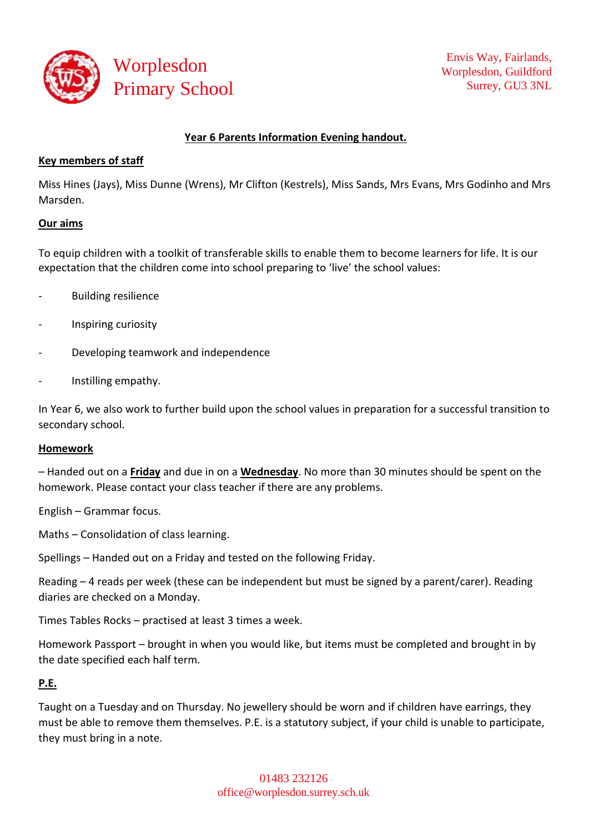

### **Year 6 Parents Information Evening handout.**

### **Key members of staff**

Miss Hines (Jays), Miss Dunne (Wrens), Mr Clifton (Kestrels), Miss Sands, Mrs Evans, Mrs Godinho and Mrs Marsden.

#### **Our aims**

To equip children with a toolkit of transferable skills to enable them to become learners for life. It is our expectation that the children come into school preparing to 'live' the school values:

- Building resilience
- Inspiring curiosity
- Developing teamwork and independence
- Instilling empathy.

In Year 6, we also work to further build upon the school values in preparation for a successful transition to secondary school.

#### **Homework**

– Handed out on a **Friday** and due in on a **Wednesday**. No more than 30 minutes should be spent on the homework. Please contact your class teacher if there are any problems.

English – Grammar focus.

Maths – Consolidation of class learning.

Spellings – Handed out on a Friday and tested on the following Friday.

Reading – 4 reads per week (these can be independent but must be signed by a parent/carer). Reading diaries are checked on a Monday.

Times Tables Rocks – practised at least 3 times a week.

Homework Passport – brought in when you would like, but items must be completed and brought in by the date specified each half term.

#### **P.E.**

Taught on a Tuesday and on Thursday. No jewellery should be worn and if children have earrings, they must be able to remove them themselves. P.E. is a statutory subject, if your child is unable to participate, they must bring in a note.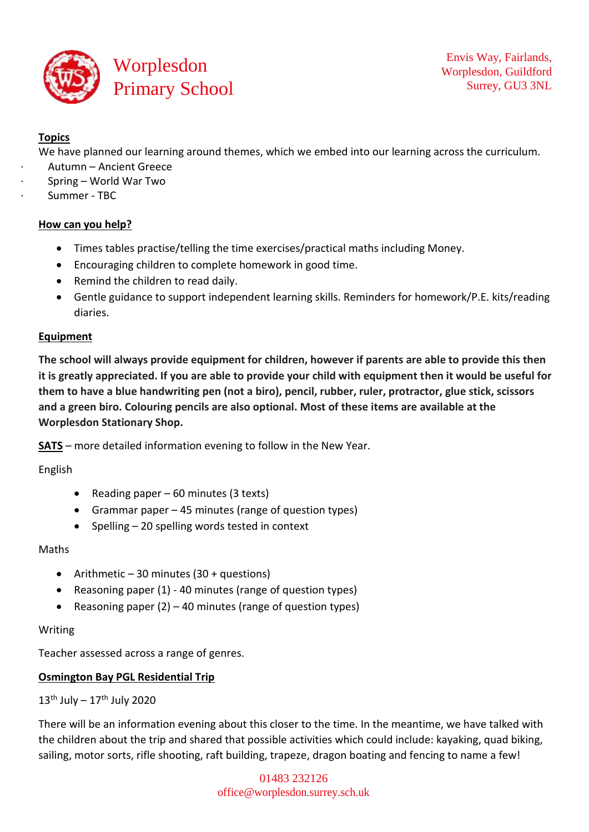

# **Topics**

We have planned our learning around themes, which we embed into our learning across the curriculum.

- · Autumn Ancient Greece
- · Spring World War Two
- Summer TBC

### **How can you help?**

- Times tables practise/telling the time exercises/practical maths including Money.
- Encouraging children to complete homework in good time.
- Remind the children to read daily.
- Gentle guidance to support independent learning skills. Reminders for homework/P.E. kits/reading diaries.

### **Equipment**

**The school will always provide equipment for children, however if parents are able to provide this then it is greatly appreciated. If you are able to provide your child with equipment then it would be useful for them to have a blue handwriting pen (not a biro), pencil, rubber, ruler, protractor, glue stick, scissors and a green biro. Colouring pencils are also optional. Most of these items are available at the Worplesdon Stationary Shop.**

**SATS** – more detailed information evening to follow in the New Year.

English

- Reading paper 60 minutes (3 texts)
- Grammar paper 45 minutes (range of question types)
- $\bullet$  Spelling 20 spelling words tested in context

#### Maths

- Arithmetic 30 minutes  $(30 +$  questions)
- Reasoning paper (1) 40 minutes (range of question types)
- Reasoning paper  $(2)$  40 minutes (range of question types)

#### Writing

Teacher assessed across a range of genres.

## **Osmington Bay PGL Residential Trip**

 $13^{\text{th}}$  July  $-17^{\text{th}}$  July 2020

There will be an information evening about this closer to the time. In the meantime, we have talked with the children about the trip and shared that possible activities which could include: kayaking, quad biking, sailing, motor sorts, rifle shooting, raft building, trapeze, dragon boating and fencing to name a few!

> 01483 232126 [office@worplesdon.surrey.sch.uk](mailto:office@worplesdon.surrey.sch.uk)